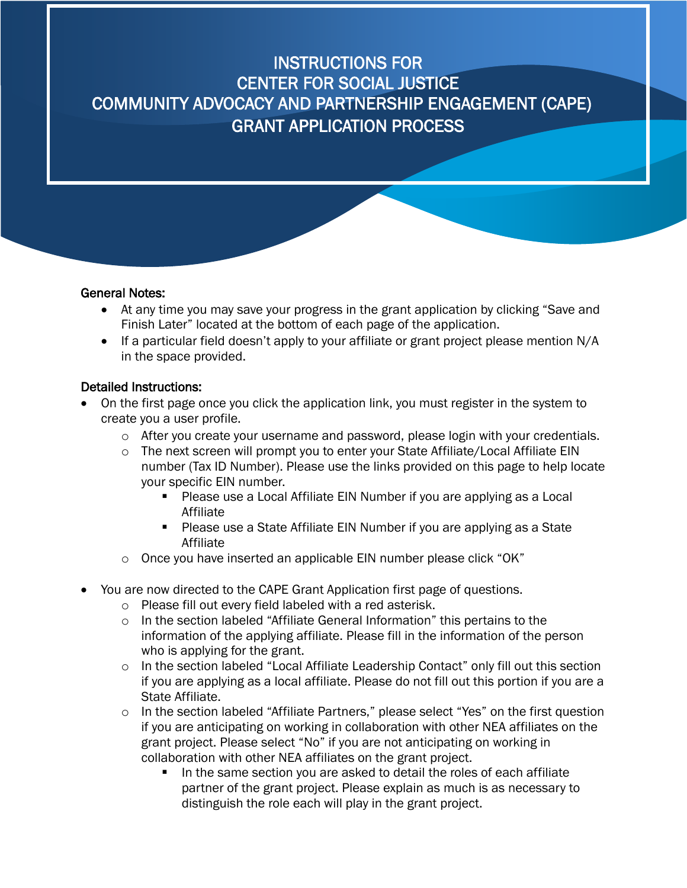#### General Notes:

- At any time you may save your progress in the grant application by clicking "Save and Finish Later" located at the bottom of each page of the application.
- If a particular field doesn't apply to your affiliate or grant project please mention  $N/A$ in the space provided.

#### Detailed Instructions:

- On the first page once you click the application link, you must register in the system to create you a user profile.
	- o After you create your username and password, please login with your credentials.
	- o The next screen will prompt you to enter your State Affiliate/Local Affiliate EIN number (Tax ID Number). Please use the links provided on this page to help locate your specific EIN number.
		- Please use a Local Affiliate EIN Number if you are applying as a Local Affiliate
		- **Please use a State Affiliate EIN Number if you are applying as a State** Affiliate
	- o Once you have inserted an applicable EIN number please click "OK"
- You are now directed to the CAPE Grant Application first page of questions.
	- o Please fill out every field labeled with a red asterisk.
	- o In the section labeled "Affiliate General Information" this pertains to the information of the applying affiliate. Please fill in the information of the person who is applying for the grant.
	- o In the section labeled "Local Affiliate Leadership Contact" only fill out this section if you are applying as a local affiliate. Please do not fill out this portion if you are a State Affiliate.
	- o In the section labeled "Affiliate Partners," please select "Yes" on the first question if you are anticipating on working in collaboration with other NEA affiliates on the grant project. Please select "No" if you are not anticipating on working in collaboration with other NEA affiliates on the grant project.
		- In the same section you are asked to detail the roles of each affiliate partner of the grant project. Please explain as much is as necessary to distinguish the role each will play in the grant project.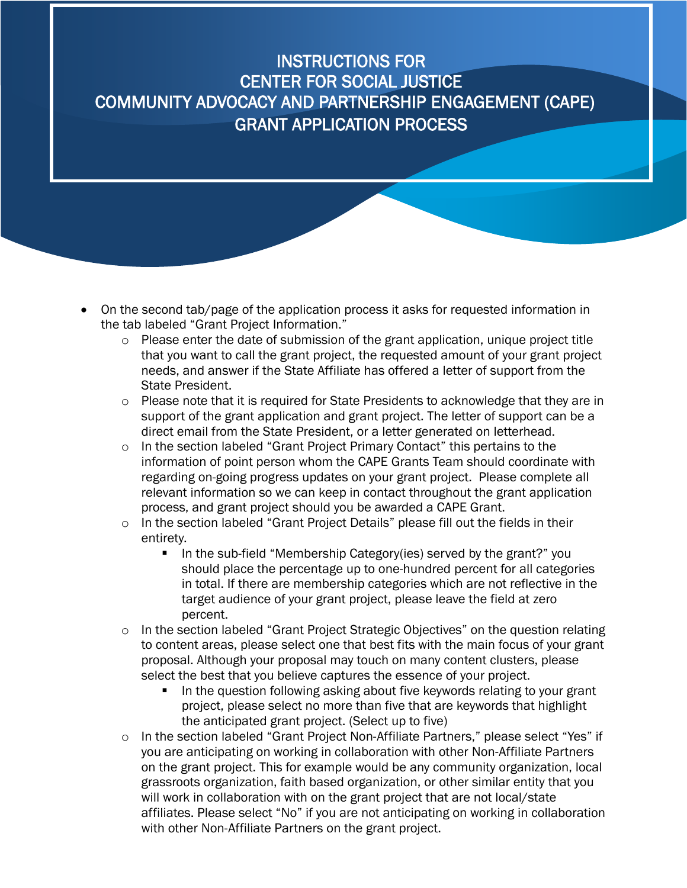- On the second tab/page of the application process it asks for requested information in the tab labeled "Grant Project Information."
	- o Please enter the date of submission of the grant application, unique project title that you want to call the grant project, the requested amount of your grant project needs, and answer if the State Affiliate has offered a letter of support from the State President.
	- o Please note that it is required for State Presidents to acknowledge that they are in support of the grant application and grant project. The letter of support can be a direct email from the State President, or a letter generated on letterhead.
	- o In the section labeled "Grant Project Primary Contact" this pertains to the information of point person whom the CAPE Grants Team should coordinate with regarding on-going progress updates on your grant project. Please complete all relevant information so we can keep in contact throughout the grant application process, and grant project should you be awarded a CAPE Grant.
	- $\circ$  In the section labeled "Grant Project Details" please fill out the fields in their entirety.
		- In the sub-field "Membership Category(ies) served by the grant?" you should place the percentage up to one-hundred percent for all categories in total. If there are membership categories which are not reflective in the target audience of your grant project, please leave the field at zero percent.
	- In the section labeled "Grant Project Strategic Objectives" on the question relating to content areas, please select one that best fits with the main focus of your grant proposal. Although your proposal may touch on many content clusters, please select the best that you believe captures the essence of your project.
		- In the question following asking about five keywords relating to your grant project, please select no more than five that are keywords that highlight the anticipated grant project. (Select up to five)
	- In the section labeled "Grant Project Non-Affiliate Partners," please select "Yes" if you are anticipating on working in collaboration with other Non-Affiliate Partners on the grant project. This for example would be any community organization, local grassroots organization, faith based organization, or other similar entity that you will work in collaboration with on the grant project that are not local/state affiliates. Please select "No" if you are not anticipating on working in collaboration with other Non-Affiliate Partners on the grant project.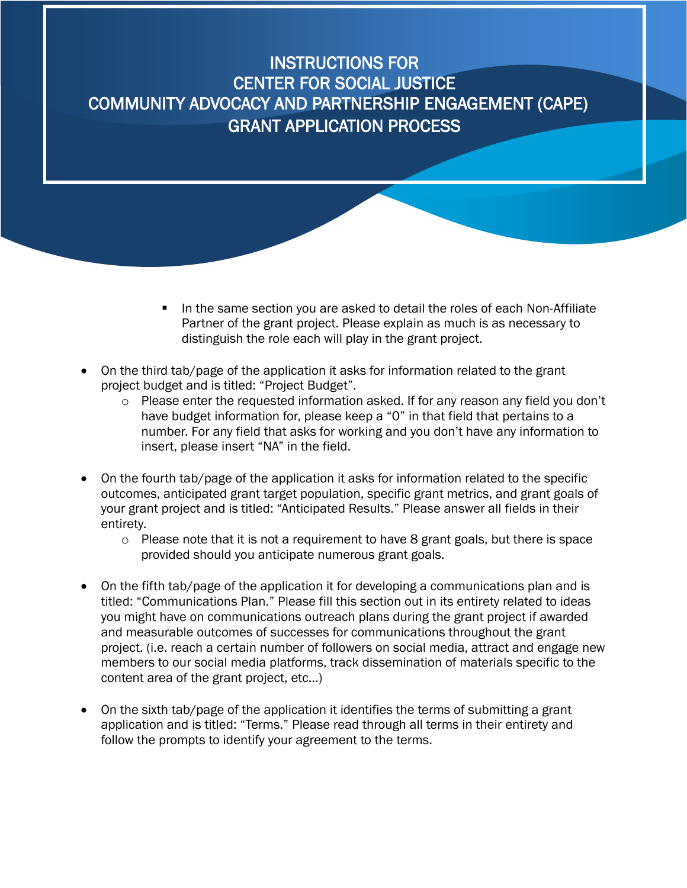- In the same section you are asked to detail the roles of each Non-Affiliate Partner of the grant project. Please explain as much is as necessary to distinguish the role each will play in the grant project.
- On the third tab/page of the application it asks for information related to the grant project budget and is titled: "Project Budget".
	- o Please enter the requested information asked. If for any reason any field you don't have budget information for, please keep a "0" in that field that pertains to a number. For any field that asks for working and you don't have any information to insert, please insert "NA" in the field.
- On the fourth tab/page of the application it asks for information related to the specific outcomes, anticipated grant target population, specific grant metrics, and grant goals of your grant project and is titled: "Anticipated Results." Please answer all fields in their entirety.
	- $\circ$  Please note that it is not a requirement to have 8 grant goals, but there is space provided should you anticipate numerous grant goals.
- On the fifth tab/page of the application it for developing a communications plan and is titled: "Communications Plan." Please fill this section out in its entirety related to ideas you might have on communications outreach plans during the grant project if awarded and measurable outcomes of successes for communications throughout the grant project. (i.e. reach a certain number of followers on social media, attract and engage new members to our social media platforms, track dissemination of materials specific to the content area of the grant project, etc…)
- On the sixth tab/page of the application it identifies the terms of submitting a grant application and is titled: "Terms." Please read through all terms in their entirety and follow the prompts to identify your agreement to the terms.